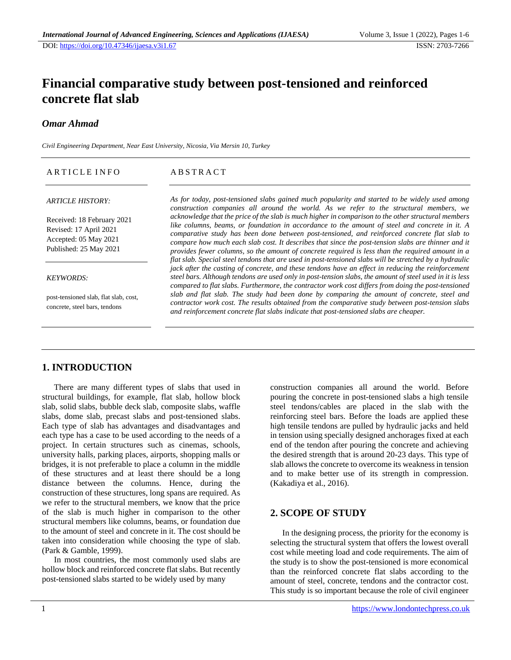# **Financial comparative study between post-tensioned and reinforced concrete flat slab**

### *Omar Ahmad*

*Civil Engineering Department, Near East University, Nicosia, Via Mersin 10, Turkey*

| ARTICLE INFO                                                                                            | <b>ABSTRACT</b>                                                                                                                                                                                                                                                                                                                                                                                                                                                                                                                                                                                                           |
|---------------------------------------------------------------------------------------------------------|---------------------------------------------------------------------------------------------------------------------------------------------------------------------------------------------------------------------------------------------------------------------------------------------------------------------------------------------------------------------------------------------------------------------------------------------------------------------------------------------------------------------------------------------------------------------------------------------------------------------------|
| <b>ARTICLE HISTORY:</b>                                                                                 | As for today, post-tensioned slabs gained much popularity and started to be widely used among<br>construction companies all around the world. As we refer to the structural members, we                                                                                                                                                                                                                                                                                                                                                                                                                                   |
| Received: 18 February 2021<br>Revised: 17 April 2021<br>Accepted: 05 May 2021<br>Published: 25 May 2021 | acknowledge that the price of the slab is much higher in comparison to the other structural members<br>like columns, beams, or foundation in accordance to the amount of steel and concrete in it. A<br>comparative study has been done between post-tensioned, and reinforced concrete flat slab to<br>compare how much each slab cost. It describes that since the post-tension slabs are thinner and it<br>provides fewer columns, so the amount of concrete required is less than the required amount in a<br>flat slab. Special steel tendons that are used in post-tensioned slabs will be stretched by a hydraulic |
| <b>KEYWORDS:</b>                                                                                        | jack after the casting of concrete, and these tendons have an effect in reducing the reinforcement<br>steel bars. Although tendons are used only in post-tension slabs, the amount of steel used in it is less<br>compared to flat slabs. Furthermore, the contractor work cost differs from doing the post-tensioned                                                                                                                                                                                                                                                                                                     |
| post-tensioned slab, flat slab, cost,<br>concrete, steel bars, tendons                                  | slab and flat slab. The study had been done by comparing the amount of concrete, steel and<br>contractor work cost. The results obtained from the comparative study between post-tension slabs<br>and reinforcement concrete flat slabs indicate that post-tensioned slabs are cheaper.                                                                                                                                                                                                                                                                                                                                   |

### **1. INTRODUCTION**

There are many different types of slabs that used in structural buildings, for example, flat slab, hollow block slab, solid slabs, bubble deck slab, composite slabs, waffle slabs, dome slab, precast slabs and post-tensioned slabs. Each type of slab has advantages and disadvantages and each type has a case to be used according to the needs of a project. In certain structures such as cinemas, schools, university halls, parking places, airports, shopping malls or bridges, it is not preferable to place a column in the middle of these structures and at least there should be a long distance between the columns. Hence, during the construction of these structures, long spans are required. As we refer to the structural members, we know that the price of the slab is much higher in comparison to the other structural members like columns, beams, or foundation due to the amount of steel and concrete in it. The cost should be taken into consideration while choosing the type of slab. (Park & Gamble, 1999).

In most countries, the most commonly used slabs are hollow block and reinforced concrete flat slabs. But recently post-tensioned slabs started to be widely used by many

construction companies all around the world. Before pouring the concrete in post-tensioned slabs a high tensile steel tendons/cables are placed in the slab with the reinforcing steel bars. Before the loads are applied these high tensile tendons are pulled by hydraulic jacks and held in tension using specially designed anchorages fixed at each end of the tendon after pouring the concrete and achieving the desired strength that is around 20-23 days. This type of slab allows the concrete to overcome its weakness in tension and to make better use of its strength in compression. (Kakadiya et al., 2016).

# **2. SCOPE OF STUDY**

In the designing process, the priority for the economy is selecting the structural system that offers the lowest overall cost while meeting load and code requirements. The aim of the study is to show the post-tensioned is more economical than the reinforced concrete flat slabs according to the amount of steel, concrete, tendons and the contractor cost. This study is so important because the role of civil engineer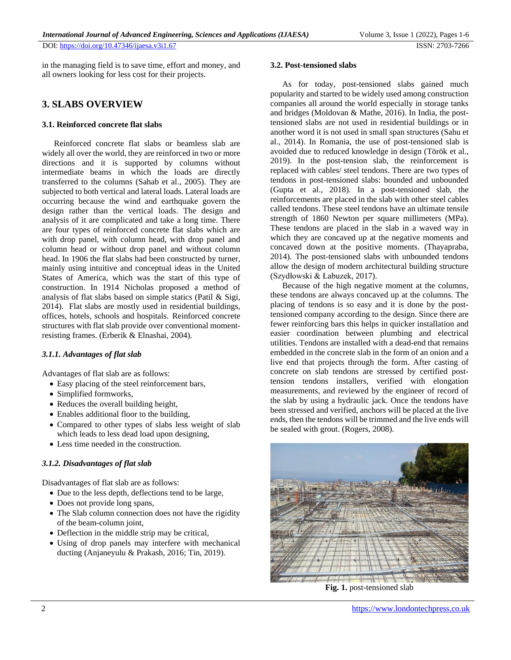in the managing field is to save time, effort and money, and all owners looking for less cost for their projects.

### **3. SLABS OVERVIEW**

### **3.1. Reinforced concrete flat slabs**

Reinforced concrete flat slabs or beamless slab are widely all over the world, they are reinforced in two or more directions and it is supported by columns without intermediate beams in which the loads are directly transferred to the columns (Sahab et al., 2005). They are subjected to both vertical and lateral loads. Lateral loads are occurring because the wind and earthquake govern the design rather than the vertical loads. The design and analysis of it are complicated and take a long time. There are four types of reinforced concrete flat slabs which are with drop panel, with column head, with drop panel and column head or without drop panel and without column head. In 1906 the flat slabs had been constructed by turner, mainly using intuitive and conceptual ideas in the United States of America, which was the start of this type of construction. In 1914 Nicholas proposed a method of analysis of flat slabs based on simple statics (Patil & Sigi, 2014). Flat slabs are mostly used in residential buildings, offices, hotels, schools and hospitals. Reinforced concrete structures with flat slab provide over conventional momentresisting frames. (Erberik & Elnashai, 2004).

### *3.1.1. Advantages of flat slab*

Advantages of flat slab are as follows:

- Easy placing of the steel reinforcement bars,
- Simplified formworks,
- Reduces the overall building height,
- Enables additional floor to the building,
- Compared to other types of slabs less weight of slab which leads to less dead load upon designing,
- Less time needed in the construction.

### *3.1.2. Disadvantages of flat slab*

Disadvantages of flat slab are as follows:

- Due to the less depth, deflections tend to be large,
- Does not provide long spans,
- The Slab column connection does not have the rigidity of the beam-column joint,
- Deflection in the middle strip may be critical,
- Using of drop panels may interfere with mechanical ducting (Anjaneyulu & Prakash, 2016; Tin, 2019).

#### **3.2. Post-tensioned slabs**

As for today, post-tensioned slabs gained much popularity and started to be widely used among construction companies all around the world especially in storage tanks and bridges (Moldovan & Mathe, 2016). In India, the posttensioned slabs are not used in residential buildings or in another word it is not used in small span structures (Sahu et al., 2014). In Romania, the use of post-tensioned slab is avoided due to reduced knowledge in design (Török et al., 2019). In the post-tension slab, the reinforcement is replaced with cables/ steel tendons. There are two types of tendons in post-tensioned slabs: bounded and unbounded (Gupta et al., 2018). In a post-tensioned slab, the reinforcements are placed in the slab with other steel cables called tendons. These steel tendons have an ultimate tensile strength of 1860 Newton per square millimeters (MPa). These tendons are placed in the slab in a waved way in which they are concaved up at the negative moments and concaved down at the positive moments. (Thayapraba, 2014). The post-tensioned slabs with unbounded tendons allow the design of modern architectural building structure (Szydłowski & Łabuzek, 2017).

Because of the high negative moment at the columns, these tendons are always concaved up at the columns. The placing of tendons is so easy and it is done by the posttensioned company according to the design. Since there are fewer reinforcing bars this helps in quicker installation and easier coordination between plumbing and electrical utilities. Tendons are installed with a dead-end that remains embedded in the concrete slab in the form of an onion and a live end that projects through the form. After casting of concrete on slab tendons are stressed by certified posttension tendons installers, verified with elongation measurements, and reviewed by the engineer of record of the slab by using a hydraulic jack. Once the tendons have been stressed and verified, anchors will be placed at the live ends, then the tendons will be trimmed and the live ends will be sealed with grout. (Rogers, 2008).



**Fig. 1.** post-tensioned slab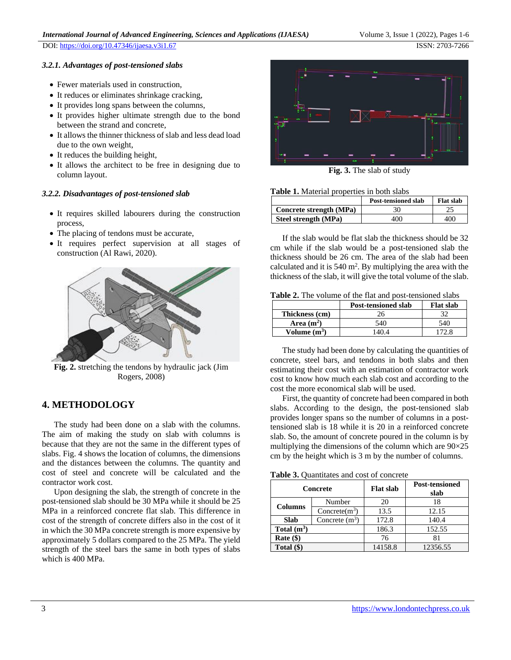DOI:<https://doi.org/10.47346/ijaesa.v3i1.67> ISSN: 2703-7266

#### *3.2.1. Advantages of post-tensioned slabs*

- Fewer materials used in construction,
- It reduces or eliminates shrinkage cracking,
- It provides long spans between the columns,
- It provides higher ultimate strength due to the bond between the strand and concrete,
- It allows the thinner thickness of slab and less dead load due to the own weight,
- It reduces the building height,
- It allows the architect to be free in designing due to column layout.

#### *3.2.2. Disadvantages of post-tensioned slab*

- It requires skilled labourers during the construction process,
- The placing of tendons must be accurate,
- It requires perfect supervision at all stages of construction (Al Rawi, 2020).



**Fig. 2.** stretching the tendons by hydraulic jack (Jim Rogers, 2008)

### **4. METHODOLOGY**

The study had been done on a slab with the columns. The aim of making the study on slab with columns is because that they are not the same in the different types of slabs. Fig. 4 shows the location of columns, the dimensions and the distances between the columns. The quantity and cost of steel and concrete will be calculated and the contractor work cost.

Upon designing the slab, the strength of concrete in the post-tensioned slab should be 30 MPa while it should be 25 MPa in a reinforced concrete flat slab. This difference in cost of the strength of concrete differs also in the cost of it in which the 30 MPa concrete strength is more expensive by approximately 5 dollars compared to the 25 MPa. The yield strength of the steel bars the same in both types of slabs which is 400 MPa.



**Fig. 3.** The slab of study

#### **Table 1.** Material properties in both slabs

|                         | Post-tensioned slab | <b>Flat slab</b> |  |
|-------------------------|---------------------|------------------|--|
| Concrete strength (MPa) | 30                  |                  |  |
| Steel strength (MPa)    | 400                 | 400              |  |

If the slab would be flat slab the thickness should be 32 cm while if the slab would be a post-tensioned slab the thickness should be 26 cm. The area of the slab had been calculated and it is  $540 \text{ m}^2$ . By multiplying the area with the thickness of the slab, it will give the total volume of the slab.

**Table 2.** The volume of the flat and post-tensioned slabs

|                | <b>Post-tensioned slab</b> | <b>Flat slab</b> |
|----------------|----------------------------|------------------|
| Thickness (cm) | 26.                        |                  |
| Area $(m2)$    | 540                        | 540              |
| Volume $(m^3)$ |                            |                  |

The study had been done by calculating the quantities of concrete, steel bars, and tendons in both slabs and then estimating their cost with an estimation of contractor work cost to know how much each slab cost and according to the cost the more economical slab will be used.

First, the quantity of concrete had been compared in both slabs. According to the design, the post-tensioned slab provides longer spans so the number of columns in a posttensioned slab is 18 while it is 20 in a reinforced concrete slab. So, the amount of concrete poured in the column is by multiplying the dimensions of the column which are  $90\times25$ cm by the height which is 3 m by the number of columns.

**Table 3.** Quantitates and cost of concrete

| Concrete       |                  | <b>Flat slab</b> | <b>Post-tensioned</b><br>slab |
|----------------|------------------|------------------|-------------------------------|
| <b>Columns</b> | Number           | 20               | 18                            |
|                | Concrete $(m^3)$ | 13.5             | 12.15                         |
| <b>Slab</b>    | Concrete $(m^3)$ | 172.8            | 140.4                         |
| Total $(m^3)$  |                  | 186.3            | 152.55                        |
| Rate $(\$)$    |                  | 76               | 81                            |
| Total (\$)     |                  | 14158.8          | 12356.55                      |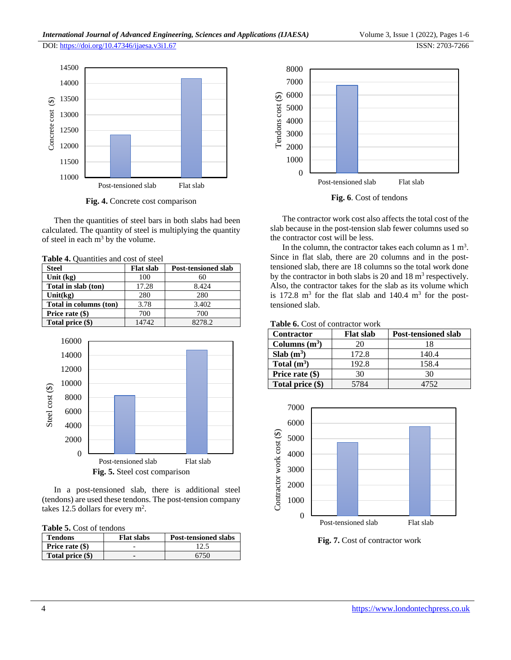

**Fig. 4.** Concrete cost comparison

Then the quantities of steel bars in both slabs had been calculated. The quantity of steel is multiplying the quantity of steel in each  $m<sup>3</sup>$  by the volume.

|  | Table 4. Quantities and cost of steel |  |  |  |  |
|--|---------------------------------------|--|--|--|--|
|--|---------------------------------------|--|--|--|--|

| <b>Steel</b>           | <b>Flat slab</b> | <b>Post-tensioned slab</b> |
|------------------------|------------------|----------------------------|
| Unit $(kg)$            | 100              | 60                         |
| Total in slab (ton)    | 17.28            | 8.424                      |
| Unit $(kg)$            | 280              | 280                        |
| Total in columns (ton) | 3.78             | 3.402                      |
| Price rate $(\$)$      | 700              | 700                        |
| Total price (\$)       | 14742            | 8278.2                     |



In a post-tensioned slab, there is additional steel (tendons) are used these tendons. The post-tension company takes 12.5 dollars for every  $m^2$ .

**Table 5.** Cost of tendons

| <b>Tendons</b>   | <b>Flat slabs</b> | <b>Post-tensioned slabs</b> |
|------------------|-------------------|-----------------------------|
| Price rate (\$)  |                   |                             |
| Total price (\$) |                   | 6750                        |





**Fig. 6**. Cost of tendons

The contractor work cost also affects the total cost of the slab because in the post-tension slab fewer columns used so the contractor cost will be less.

In the column, the contractor takes each column as  $1 \text{ m}^3$ . Since in flat slab, there are 20 columns and in the posttensioned slab, there are 18 columns so the total work done by the contractor in both slabs is 20 and 18  $\text{m}^3$  respectively. Also, the contractor takes for the slab as its volume which is  $172.8 \text{ m}^3$  for the flat slab and  $140.4 \text{ m}^3$  for the posttensioned slab.

#### **Table 6.** Cost of contractor work

| <b>Contractor</b> | <b>Flat slab</b> | <b>Post-tensioned slab</b> |
|-------------------|------------------|----------------------------|
| Columns $(m^3)$   | 20               | 18                         |
| Slab $(m^3)$      | 172.8            | 140.4                      |
| Total $(m^3)$     | 192.8            | 158.4                      |
| Price rate (\$)   | 30               | 30                         |
| Total price (\$)  | 5784             | 4752                       |



**Fig. 7.** Cost of contractor work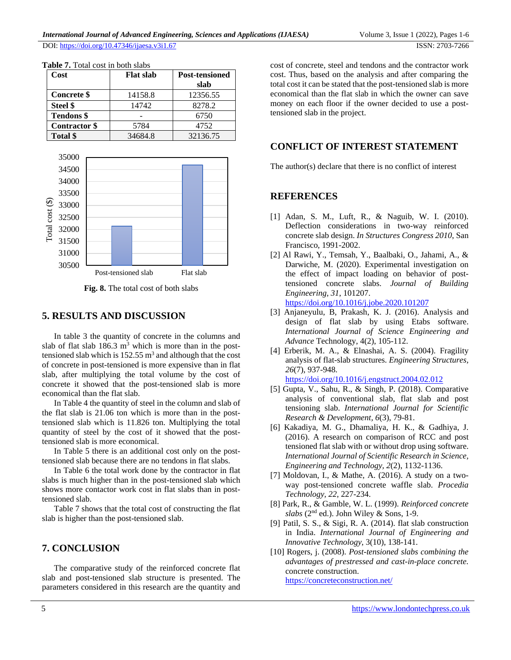| Cost                 | <b>Flat slab</b> | <b>Post-tensioned</b> |  |
|----------------------|------------------|-----------------------|--|
|                      |                  | slab                  |  |
| <b>Concrete</b> \$   | 14158.8          | 12356.55              |  |
| Steel \$             | 14742            | 8278.2                |  |
| <b>Tendons</b> \$    |                  | 6750                  |  |
| <b>Contractor</b> \$ | 5784             | 4752                  |  |
| Total \$             | 34684.8          | 32136.75              |  |

**Table 7.** Total cost in both slabs



**Fig. 8.** The total cost of both slabs

### **5. RESULTS AND DISCUSSION**

In table 3 the quantity of concrete in the columns and slab of flat slab  $186.3 \text{ m}^3$  which is more than in the posttensioned slab which is  $152.55 \text{ m}^3$  and although that the cost of concrete in post-tensioned is more expensive than in flat slab, after multiplying the total volume by the cost of concrete it showed that the post-tensioned slab is more economical than the flat slab.

In Table 4 the quantity of steel in the column and slab of the flat slab is 21.06 ton which is more than in the posttensioned slab which is 11.826 ton. Multiplying the total quantity of steel by the cost of it showed that the posttensioned slab is more economical.

In Table 5 there is an additional cost only on the posttensioned slab because there are no tendons in flat slabs.

In Table 6 the total work done by the contractor in flat slabs is much higher than in the post-tensioned slab which shows more contactor work cost in flat slabs than in posttensioned slab.

Table 7 shows that the total cost of constructing the flat slab is higher than the post-tensioned slab.

# **7. CONCLUSION**

The comparative study of the reinforced concrete flat slab and post-tensioned slab structure is presented. The parameters considered in this research are the quantity and

cost of concrete, steel and tendons and the contractor work cost. Thus, based on the analysis and after comparing the total cost it can be stated that the post-tensioned slab is more economical than the flat slab in which the owner can save money on each floor if the owner decided to use a posttensioned slab in the project.

# **CONFLICT OF INTEREST STATEMENT**

The author(s) declare that there is no conflict of interest

# **REFERENCES**

- [1] Adan, S. M., Luft, R., & Naguib, W. I. (2010). Deflection considerations in two-way reinforced concrete slab design. *In Structures Congress 2010*, San Francisco, 1991-2002.
- [2] Al Rawi, Y., Temsah, Y., Baalbaki, O., Jahami, A., & Darwiche, M. (2020). Experimental investigation on the effect of impact loading on behavior of posttensioned concrete slabs. *Journal of Building Engineering, 31*, 101207. <https://doi.org/10.1016/j.jobe.2020.101207>
- [3] Anjaneyulu, B, Prakash, K. J. (2016). Analysis and design of flat slab by using Etabs software. *International Journal of Science Engineering and Advance* Technology, 4(2), 105-112.
- [4] Erberik, M. A., & Elnashai, A. S. (2004). Fragility analysis of flat-slab structures. *Engineering Structures, 26*(7), 937-948. <https://doi.org/10.1016/j.engstruct.2004.02.012>
- [5] Gupta, V., Sahu, R., & Singh, P. (2018). Comparative analysis of conventional slab, flat slab and post tensioning slab. *International Journal for Scientific Research & Development, 6*(3), 79-81.
- [6] Kakadiya, M. G., Dhamaliya, H. K., & Gadhiya, J. (2016). A research on comparison of RCC and post tensioned flat slab with or without drop using software. *International Journal of Scientific Research in Science, Engineering and Technology, 2*(2), 1132-1136.
- [7] Moldovan, I., & Mathe, A. (2016). A study on a twoway post-tensioned concrete waffle slab. *Procedia Technology, 22*, 227-234.
- [8] Park, R., & Gamble, W. L. (1999). *Reinforced concrete slabs* (2nd ed.). John Wiley & Sons, 1-9.
- [9] Patil, S. S., & Sigi, R. A. (2014). flat slab construction in India. *International Journal of Engineering and Innovative Technology*, 3(10), 138-141.
- [10] Rogers, j. (2008). *Post-tensioned slabs combining the advantages of prestressed and cast-in-place concrete.* concrete construction. <https://concreteconstruction.net/>